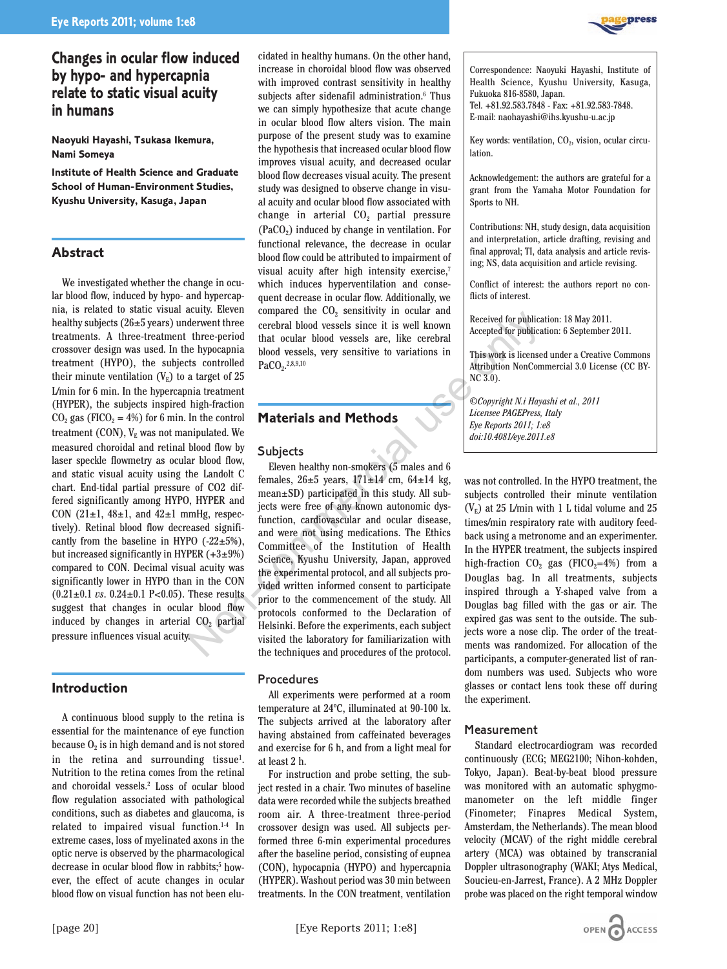# **Changes in ocular flow induced by hypo- and hypercapnia relate to static visual acuity in humans**

**Naoyuki Hayashi, Tsukasa Ikemura, Nami Someya**

**Institute of Health Science and Graduate School of Human-Environment Studies, Kyushu University, Kasuga, Japan** 

# **Abstract**

We investigated whether the change in ocular blood flow, induced by hypo- and hypercapnia, is related to static visual acuity. Eleven healthy subjects  $(26±5 \text{ years})$  underwent three treatments. A three-treatment three-period crossover design was used. In the hypocapnia treatment (HYPO), the subjects controlled their minute ventilation  $(V_{E})$  to a target of 25 L/min for 6 min. In the hypercapnia treatment (HYPER), the subjects inspired high-fraction  $CO<sub>2</sub>$  gas (FICO<sub>2</sub> = 4%) for 6 min. In the control treatment (CON),  $V_{E}$  was not manipulated. We measured choroidal and retinal blood flow by laser speckle flowmetry as ocular blood flow, and static visual acuity using the Landolt C chart. End-tidal partial pressure of CO2 differed significantly among HYPO, HYPER and CON (21 $\pm$ 1, 48 $\pm$ 1, and 42 $\pm$ 1 mmHg, respectively). Retinal blood flow decreased significantly from the baseline in HYPO  $(-22 \pm 5\%)$ , but increased significantly in HYPER  $(+3\pm9\%)$ compared to CON. Decimal visual acuity was significantly lower in HYPO than in the CON  $(0.21 \pm 0.1 \text{ vs. } 0.24 \pm 0.1 \text{ P} < 0.05)$ . These results suggest that changes in ocular blood flow induced by changes in arterial  $CO<sub>2</sub>$  partial pressure influences visual acuity.

# **Introduction**

A continuous blood supply to the retina is essential for the maintenance of eye function because  $O<sub>2</sub>$  is in high demand and is not stored in the retina and surrounding tissue<sup>1</sup>. Nutrition to the retina comes from the retinal and choroidal vessels.2 Loss of ocular blood flow regulation associated with pathological conditions, such as diabetes and glaucoma, is related to impaired visual function.1-4 In extreme cases, loss of myelinated axons in the optic nerve is observed by the pharmacological decrease in ocular blood flow in rabbits;<sup>5</sup> however, the effect of acute changes in ocular blood flow on visual function has not been elucidated in healthy humans. On the other hand, increase in choroidal blood flow was observed with improved contrast sensitivity in healthy subjects after sidenafil administration.<sup>6</sup> Thus we can simply hypothesize that acute change in ocular blood flow alters vision. The main purpose of the present study was to examine the hypothesis that increased ocular blood flow improves visual acuity, and decreased ocular blood flow decreases visual acuity. The present study was designed to observe change in visual acuity and ocular blood flow associated with change in arterial  $CO<sub>2</sub>$  partial pressure  $(PaCO<sub>2</sub>)$  induced by change in ventilation. For functional relevance, the decrease in ocular blood flow could be attributed to impairment of visual acuity after high intensity exercise,7 which induces hyperventilation and consequent decrease in ocular flow. Additionally, we compared the  $CO<sub>2</sub>$  sensitivity in ocular and cerebral blood vessels since it is well known that ocular blood vessels are, like cerebral blood vessels, very sensitive to variations in  $PaCO<sub>2</sub>$ .<sup>2,8,9,10</sup>

# **Materials and Methods**

## **Subjects**

Eleven healthy non-smokers (5 males and 6 females,  $26±5$  years,  $171±14$  cm,  $64±14$  kg, mean±SD) participated in this study. All subjects were free of any known autonomic dysfunction, cardiovascular and ocular disease, and were not using medications. The Ethics Committee of the Institution of Health Science, Kyushu University, Japan, approved the experimental protocol, and all subjects provided written informed consent to participate prior to the commencement of the study. All protocols conformed to the Declaration of Helsinki. Before the experiments, each subject visited the laboratory for familiarization with the techniques and procedures of the protocol. Non-Transmitted the Control of Health and The Hyperal and Nethods<br>
Ederwent three cerebral blood vessels since it is well known<br>
three-period that ocular blood vessels, very sensitive to variations in<br>
the hyperaphia bloo

## **Procedures**

All experiments were performed at a room temperature at 24ºC, illuminated at 90-100 lx. The subjects arrived at the laboratory after having abstained from caffeinated beverages and exercise for 6 h, and from a light meal for at least 2 h.

For instruction and probe setting, the subject rested in a chair. Two minutes of baseline data were recorded while the subjects breathed room air. A three-treatment three-period crossover design was used. All subjects performed three 6-min experimental procedures after the baseline period, consisting of eupnea (CON), hypocapnia (HYPO) and hypercapnia (HYPER). Washout period was 30 min between treatments. In the CON treatment, ventilation



Correspondence: Naoyuki Hayashi, Institute of Health Science, Kyushu University, Kasuga, Fukuoka 816-8580, Japan. Tel. +81.92.583.7848 - Fax: +81.92.583-7848.

E-mail: naohayashi@ihs.kyushu-u.ac.jp

Key words: ventilation,  $CO<sub>2</sub>$ , vision, ocular circulation.

Acknowledgement: the authors are grateful for a grant from the Yamaha Motor Foundation for Sports to NH.

Contributions: NH, study design, data acquisition and interpretation, article drafting, revising and final approval; TI, data analysis and article revising; NS, data acquisition and article revising.

Conflict of interest: the authors report no conflicts of interest.

Received for publication: 18 May 2011. Accepted for publication: 6 September 2011.

This work is licensed under a Creative Commons Attribution NonCommercial 3.0 License (CC BY-NC 3.0).

*©Copyright N.i Hayashi et al., 2011 Licensee PAGEPress, Italy Eye Reports 2011; 1:e8 doi:10.4081/eye.2011.e8*

was not controlled. In the HYPO treatment, the subjects controlled their minute ventilation  $(V_E)$  at 25 L/min with 1 L tidal volume and 25 times/min respiratory rate with auditory feedback using a metronome and an experimenter. In the HYPER treatment, the subjects inspired high-fraction  $CO<sub>2</sub>$  gas (FICO<sub>2</sub>=4%) from a Douglas bag. In all treatments, subjects inspired through a Y-shaped valve from a Douglas bag filled with the gas or air. The expired gas was sent to the outside. The subjects wore a nose clip. The order of the treatments was randomized. For allocation of the participants, a computer-generated list of random numbers was used. Subjects who wore glasses or contact lens took these off during the experiment.

## Measurement

Standard electrocardiogram was recorded continuously (ECG; MEG2100; Nihon-kohden, Tokyo, Japan). Beat-by-beat blood pressure was monitored with an automatic sphygmomanometer on the left middle finger (Finometer; Finapres Medical System, Amsterdam, the Netherlands). The mean blood velocity (MCAV) of the right middle cerebral artery (MCA) was obtained by transcranial Doppler ultrasonography (WAKI; Atys Medical, Soucieu-en-Jarrest, France). A 2 MHz Doppler probe was placed on the right temporal window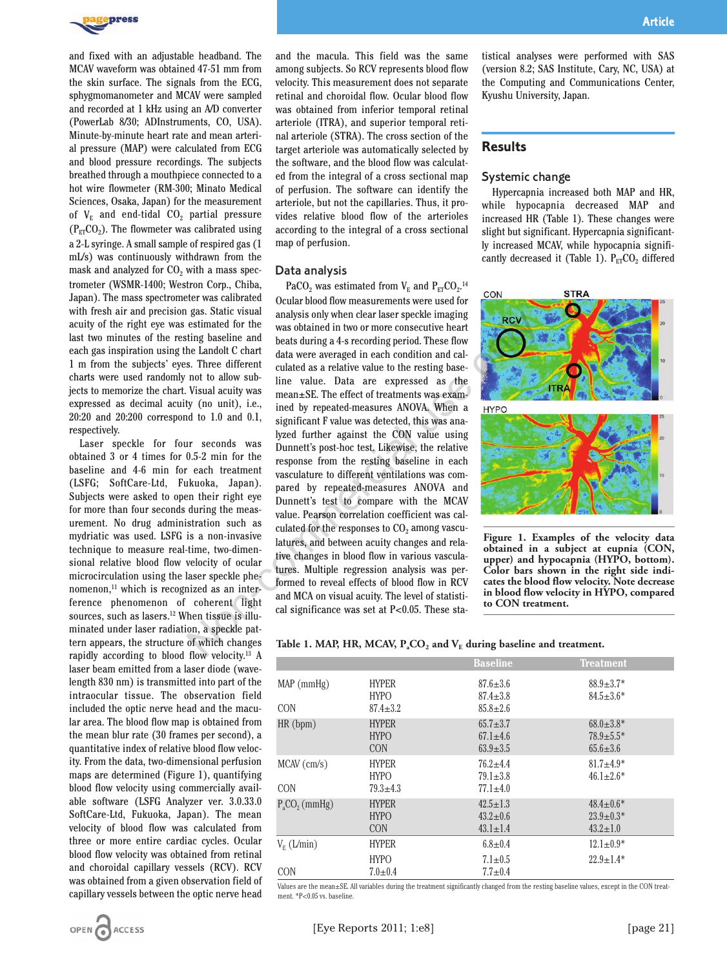

and fixed with an adjustable headband. The MCAV waveform was obtained 47-51 mm from the skin surface. The signals from the ECG, sphygmomanometer and MCAV were sampled and recorded at 1 kHz using an A/D converter (PowerLab 8/30; ADInstruments, CO, USA). Minute-by-minute heart rate and mean arterial pressure (MAP) were calculated from ECG and blood pressure recordings. The subjects breathed through a mouthpiece connected to a hot wire flowmeter (RM-300; Minato Medical Sciences, Osaka, Japan) for the measurement of  $V_{E}$  and end-tidal  $CO_{2}$  partial pressure  $(P_{FT}CO<sub>2</sub>)$ . The flowmeter was calibrated using a 2-L syringe. A small sample of respired gas (1 mL/s) was continuously withdrawn from the mask and analyzed for  $CO<sub>2</sub>$  with a mass spectrometer (WSMR-1400; Westron Corp., Chiba, Japan). The mass spectrometer was calibrated with fresh air and precision gas. Static visual acuity of the right eye was estimated for the last two minutes of the resting baseline and each gas inspiration using the Landolt C chart 1 m from the subjects' eyes. Three different charts were used randomly not to allow subjects to memorize the chart. Visual acuity was expressed as decimal acuity (no unit), i.e., 20:20 and 20:200 correspond to 1.0 and 0.1, respectively.

Laser speckle for four seconds was obtained 3 or 4 times for 0.5-2 min for the baseline and 4-6 min for each treatment (LSFG; SoftCare-Ltd, Fukuoka, Japan). Subjects were asked to open their right eye for more than four seconds during the measurement. No drug administration such as mydriatic was used. LSFG is a non-invasive technique to measure real-time, two-dimensional relative blood flow velocity of ocular microcirculation using the laser speckle phenomenon,<sup>11</sup> which is recognized as an interference phenomenon of coherent light sources, such as lasers.<sup>12</sup> When tissue is illuminated under laser radiation, a speckle pattern appears, the structure of which changes rapidly according to blood flow velocity.13 A laser beam emitted from a laser diode (wavelength 830 nm) is transmitted into part of the intraocular tissue. The observation field included the optic nerve head and the macular area. The blood flow map is obtained from the mean blur rate (30 frames per second), a quantitative index of relative blood flow velocity. From the data, two-dimensional perfusion maps are determined (Figure 1), quantifying blood flow velocity using commercially available software (LSFG Analyzer ver. 3.0.33.0 SoftCare-Ltd, Fukuoka, Japan). The mean velocity of blood flow was calculated from three or more entire cardiac cycles. Ocular blood flow velocity was obtained from retinal and choroidal capillary vessels (RCV). RCV was obtained from a given observation field of capillary vessels between the optic nerve head and the macula. This field was the same among subjects. So RCV represents blood flow velocity. This measurement does not separate retinal and choroidal flow. Ocular blood flow was obtained from inferior temporal retinal arteriole (ITRA), and superior temporal retinal arteriole (STRA). The cross section of the target arteriole was automatically selected by the software, and the blood flow was calculated from the integral of a cross sectional map of perfusion. The software can identify the arteriole, but not the capillaries. Thus, it provides relative blood flow of the arterioles according to the integral of a cross sectional map of perfusion.

#### Data analysis

PaCO<sub>2</sub> was estimated from  $V_E$  and  $P_{ET}CO_2$ .<sup>14</sup> Ocular blood flow measurements were used for analysis only when clear laser speckle imaging was obtained in two or more consecutive heart beats during a 4-s recording period. These flow data were averaged in each condition and calculated as a relative value to the resting baseline value. Data are expressed as the mean±SE. The effect of treatments was examined by repeated-measures ANOVA. When a significant F value was detected, this was analyzed further against the CON value using Dunnett's post-hoc test. Likewise, the relative response from the resting baseline in each vasculature to different ventilations was compared by repeated-measures ANOVA and Dunnett's test to compare with the MCAV value. Pearson correlation coefficient was calculated for the responses to  $CO<sub>2</sub>$  among vasculatures, and between acuity changes and relative changes in blood flow in various vasculatures. Multiple regression analysis was performed to reveal effects of blood flow in RCV and MCA on visual acuity. The level of statistical significance was set at P<0.05. These stagas. Statt visual analysis only when clear last speciele imaging<br>
estimated for the was obtained in two or more consecutive heart<br>
the Landolt C chart data were averaged in each condition and cal-<br>
not to allow sub-<br>
s. T

tistical analyses were performed with SAS (version 8.2; SAS Institute, Cary, NC, USA) at the Computing and Communications Center, Kyushu University, Japan.

### **Results**

### Systemic change

Hypercapnia increased both MAP and HR, while hypocapnia decreased MAP and increased HR (Table 1). These changes were slight but significant. Hypercapnia significantly increased MCAV, while hypocapnia significantly decreased it (Table 1).  $P_{ET}CO_2$  differed



**Figure 1. Examples of the velocity data obtained in a subject at eupnia (CON, upper) and hypocapnia (HYPO, bottom). Color bars shown in the right side indicates the blood flow velocity. Note decrease in blood flow velocity in HYPO, compared to CON treatment.** 

#### Table 1. MAP, HR, MCAV,  $P_{a}CO_{2}$  and  $V_{E}$  during baseline and treatment.

|                             |                                               | <b>Baseline</b>                                    | <b>Treatment</b>                                     |
|-----------------------------|-----------------------------------------------|----------------------------------------------------|------------------------------------------------------|
| $MAP$ (mmHg)<br><b>CON</b>  | <b>HYPER</b><br><b>HYPO</b><br>$87.4 \pm 3.2$ | $87.6 \pm 3.6$<br>$87.4 \pm 3.8$<br>$85.8 \pm 2.6$ | $88.9 \pm 3.7*$<br>$84.5 \pm 3.6*$                   |
| HR(bpm)                     | <b>HYPER</b><br><b>HYPO</b><br><b>CON</b>     | $65.7 \pm 3.7$<br>$67.1 \pm 4.6$<br>$63.9 \pm 3.5$ | $68.0 \pm 3.8*$<br>$78.9 \pm 5.5*$<br>$65.6 \pm 3.6$ |
| $MCAV$ (cm/s)<br><b>CON</b> | <b>HYPER</b><br><b>HYPO</b><br>$79.3 \pm 4.3$ | $76.2 + 4.4$<br>$79.1 \pm 3.8$<br>$77.1 \pm 4.0$   | $81.7 + 4.9*$<br>$46.1 \pm 2.6*$                     |
| $PaCO2$ (mmHg)              | <b>HYPER</b><br><b>HYPO</b><br><b>CON</b>     | $42.5 \pm 1.3$<br>$43.2 \pm 0.6$<br>$43.1 \pm 1.4$ | $48.4 \pm 0.6*$<br>$23.9 \pm 0.3*$<br>$43.2 \pm 1.0$ |
| $V_{E}$ (L/min)             | <b>HYPER</b>                                  | $6.8 \pm 0.4$                                      | $12.1 \pm 0.9*$                                      |
| <b>CON</b>                  | <b>HYPO</b><br>$7.0 \pm 0.4$                  | $7.1 \pm 0.5$<br>$7.7 \pm 0.4$                     | $22.9 \pm 1.4*$                                      |

Values are the mean±SE. All variables during the treatment significantly changed from the resting baseline values, except in the CON treatment. \*P<0.05 vs. baseline.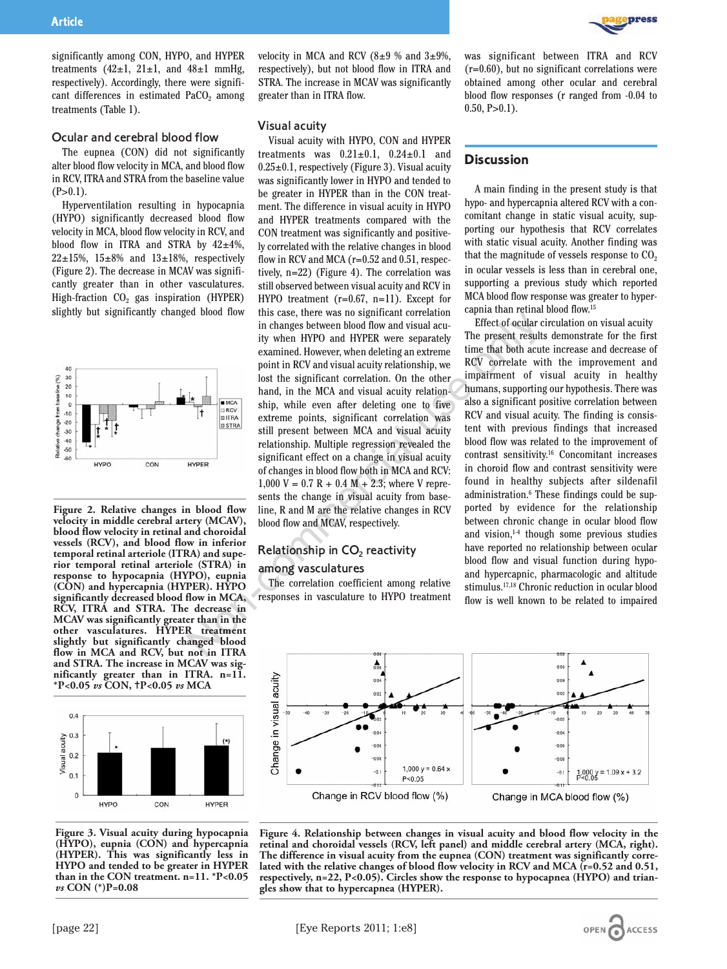significantly among CON, HYPO, and HYPER treatments  $(42\pm1, 21\pm1,$  and  $48\pm1$  mmHg, respectively). Accordingly, there were significant differences in estimated  $PaCO<sub>2</sub>$  among treatments (Table 1).

#### Ocular and cerebral blood flow

The eupnea (CON) did not significantly alter blood flow velocity in MCA, and blood flow in RCV, ITRA and STRA from the baseline value  $(P>0.1)$ .

Hyperventilation resulting in hypocapnia (HYPO) significantly decreased blood flow velocity in MCA, blood flow velocity in RCV, and blood flow in ITRA and STRA by  $42\pm4\%$ ,  $22\pm15\%$ ,  $15\pm8\%$  and  $13\pm18\%$ , respectively (Figure 2). The decrease in MCAV was significantly greater than in other vasculatures. High-fraction  $CO<sub>2</sub>$  gas inspiration (HYPER) slightly but significantly changed blood flow



**Figure 2. Relative changes in blood flow velocity in middle cerebral artery (MCAV), blood flow velocity in retinal and choroidal vessels (RCV), and blood flow in inferior temporal retinal arteriole (ITRA) and superior temporal retinal arteriole (STRA) in response to hypocapnia (HYPO), eupnia (CON) and hypercapnia (HYPER). HYPO significantly decreased blood flow in MCA, RCV, ITRA and STRA. The decrease in MCAV was significantly greater than in the other vasculatures. HYPER treatment slightly but significantly changed blood flow in MCA and RCV, but not in ITRA and STRA. The increase in MCAV was significantly greater than in ITRA. n=11. \*P<0.05** *vs* **CON,** =**P<0.05** *vs* **MCA** 



**Figure 3. Visual acuity during hypocapnia (HYPO), eupnia (CON) and hypercapnia (HYPER). This was significantly less in HYPO and tended to be greater in HYPER than in the CON treatment. n=11. \*P<0.05** *vs* **CON (\*)P=0.08** 

velocity in MCA and RCV (8 $\pm$ 9 % and 3 $\pm$ 9%, respectively), but not blood flow in ITRA and STRA. The increase in MCAV was significantly greater than in ITRA flow.

#### Visual acuity

Visual acuity with HYPO, CON and HYPER treatments was  $0.21 \pm 0.1$ ,  $0.24 \pm 0.1$  and  $0.25\pm0.1$ , respectively (Figure 3). Visual acuity was significantly lower in HYPO and tended to be greater in HYPER than in the CON treatment. The difference in visual acuity in HYPO and HYPER treatments compared with the CON treatment was significantly and positively correlated with the relative changes in blood flow in RCV and MCA (r=0.52 and 0.51, respectively, n=22) (Figure 4). The correlation was still observed between visual acuity and RCV in HYPO treatment (r=0.67, n=11). Except for this case, there was no significant correlation in changes between blood flow and visual acuity when HYPO and HYPER were separately examined. However, when deleting an extreme point in RCV and visual acuity relationship, we lost the significant correlation. On the other hand, in the MCA and visual acuity relationship, while even after deleting one to five extreme points, significant correlation was still present between MCA and visual acuity relationship. Multiple regression revealed the significant effect on a change in visual acuity of changes in blood flow both in MCA and RCV:  $1,000$  V = 0.7 R + 0.4 M + 2.3; where V represents the change in visual acuity from baseline, R and M are the relative changes in RCV blood flow and MCAV, respectively. Example the was in significant correlation in example the conduct that the same of the state in the magnetic spectral use only the state of focular in the Mondo HWER were separately. The present result examined. However,

# Relationship in CO<sub>2</sub> reactivity

#### among vasculatures

The correlation coefficient among relative responses in vasculature to HYPO treatment **Dress** 

was significant between ITRA and RCV (r=0.60), but no significant correlations were obtained among other ocular and cerebral blood flow responses (r ranged from -0.04 to  $0.50, P>0.1$ ).

### **Discussion**

A main finding in the present study is that hypo- and hypercapnia altered RCV with a concomitant change in static visual acuity, supporting our hypothesis that RCV correlates with static visual acuity. Another finding was that the magnitude of vessels response to  $CO<sub>2</sub>$ in ocular vessels is less than in cerebral one, supporting a previous study which reported MCA blood flow response was greater to hypercapnia than retinal blood flow.15

Effect of ocular circulation on visual acuity The present results demonstrate for the first time that both acute increase and decrease of RCV correlate with the improvement and impairment of visual acuity in healthy humans, supporting our hypothesis. There was also a significant positive correlation between RCV and visual acuity. The finding is consistent with previous findings that increased blood flow was related to the improvement of contrast sensitivity.16 Concomitant increases in choroid flow and contrast sensitivity were found in healthy subjects after sildenafil administration.<sup>6</sup> These findings could be supported by evidence for the relationship between chronic change in ocular blood flow and vision, $14$  though some previous studies have reported no relationship between ocular blood flow and visual function during hypoand hypercapnic, pharmacologic and altitude stimulus.17,18 Chronic reduction in ocular blood flow is well known to be related to impaired



**Figure 4. Relationship between changes in visual acuity and blood flow velocity in the retinal and choroidal vessels (RCV, left panel) and middle cerebral artery (MCA, right). The difference in visual acuity from the eupnea (CON) treatment was significantly correlated with the relative changes of blood flow velocity in RCV and MCA (r=0.52 and 0.51, respectively, n=22, P<0.05). Circles show the response to hypocapnea (HYPO) and triangles show that to hypercapnea (HYPER).**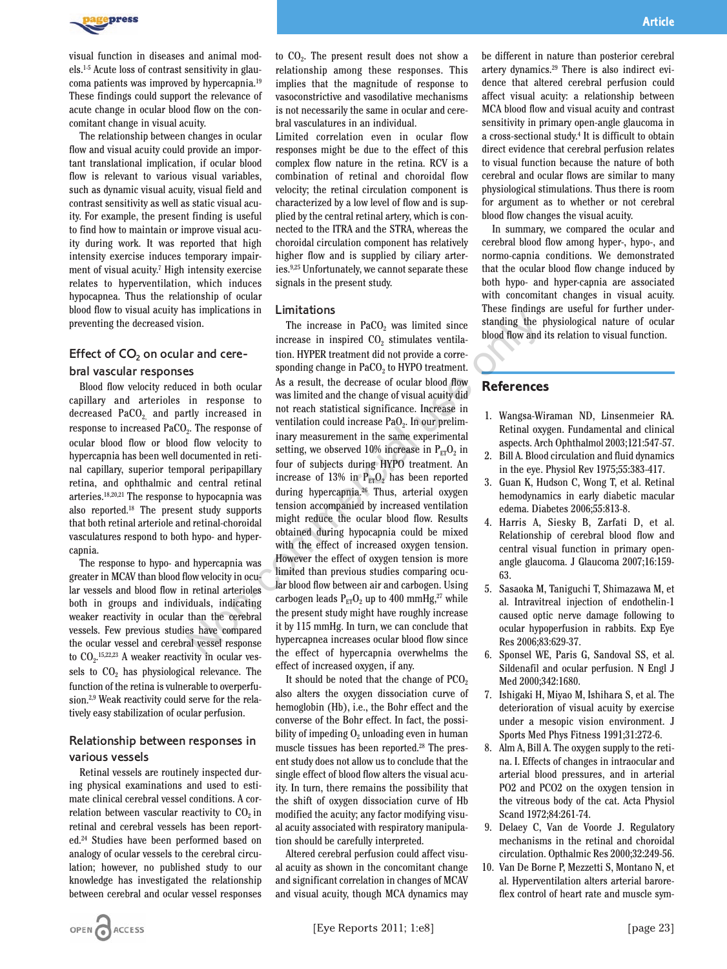

visual function in diseases and animal models.1-5 Acute loss of contrast sensitivity in glaucoma patients was improved by hypercapnia.19 These findings could support the relevance of acute change in ocular blood flow on the concomitant change in visual acuity.

The relationship between changes in ocular flow and visual acuity could provide an important translational implication, if ocular blood flow is relevant to various visual variables, such as dynamic visual acuity, visual field and contrast sensitivity as well as static visual acuity. For example, the present finding is useful to find how to maintain or improve visual acuity during work. It was reported that high intensity exercise induces temporary impairment of visual acuity.7 High intensity exercise relates to hyperventilation, which induces hypocapnea. Thus the relationship of ocular blood flow to visual acuity has implications in preventing the decreased vision.

### Effect of  $CO<sub>2</sub>$  on ocular and cere-

#### bral vascular responses

Blood flow velocity reduced in both ocular capillary and arterioles in response to decreased  $PaCO<sub>2</sub>$  and partly increased in response to increased PaCO<sub>2</sub>. The response of ocular blood flow or blood flow velocity to hypercapnia has been well documented in retinal capillary, superior temporal peripapillary retina, and ophthalmic and central retinal arteries.18,20,21 The response to hypocapnia was also reported.18 The present study supports that both retinal arteriole and retinal-choroidal vasculatures respond to both hypo- and hypercapnia.

The response to hypo- and hypercapnia was greater in MCAV than blood flow velocity in ocular vessels and blood flow in retinal arterioles both in groups and individuals, indicating weaker reactivity in ocular than the cerebral vessels. Few previous studies have compared the ocular vessel and cerebral vessel response to  $CO<sub>2</sub>$ .<sup>15,22,23</sup> A weaker reactivity in ocular vessels to  $CO<sub>2</sub>$  has physiological relevance. The function of the retina is vulnerable to overperfusion.2,9 Weak reactivity could serve for the relatively easy stabilization of ocular perfusion.

## Relationship between responses in various vessels

Retinal vessels are routinely inspected during physical examinations and used to estimate clinical cerebral vessel conditions. A correlation between vascular reactivity to  $CO<sub>2</sub>$  in retinal and cerebral vessels has been reported.24 Studies have been performed based on analogy of ocular vessels to the cerebral circulation; however, no published study to our knowledge has investigated the relationship between cerebral and ocular vessel responses

to  $CO<sub>2</sub>$ . The present result does not show a relationship among these responses. This implies that the magnitude of response to vasoconstrictive and vasodilative mechanisms is not necessarily the same in ocular and cerebral vasculatures in an individual.

Limited correlation even in ocular flow responses might be due to the effect of this complex flow nature in the retina. RCV is a combination of retinal and choroidal flow velocity; the retinal circulation component is characterized by a low level of flow and is supplied by the central retinal artery, which is connected to the ITRA and the STRA, whereas the choroidal circulation component has relatively higher flow and is supplied by ciliary arteries.9,25 Unfortunately, we cannot separate these signals in the present study.

### Limitations

The increase in  $PaCO<sub>2</sub>$  was limited since increase in inspired  $CO<sub>2</sub>$  stimulates ventilation. HYPER treatment did not provide a corresponding change in PaCO<sub>2</sub> to HYPO treatment. As a result, the decrease of ocular blood flow was limited and the change of visual acuity did not reach statistical significance. Increase in ventilation could increase  $PaO<sub>2</sub>$ . In our preliminary measurement in the same experimental setting, we observed 10% increase in  $P_{ET}O_2$  in four of subjects during HYPO treatment. An increase of 13% in  $P_{FT}O_2$  has been reported during hypercapnia.26 Thus, arterial oxygen tension accompanied by increased ventilation might reduce the ocular blood flow. Results obtained during hypocapnia could be mixed with the effect of increased oxygen tension. However the effect of oxygen tension is more limited than previous studies comparing ocular blood flow between air and carbogen. Using carbogen leads  $P_{ET}O_2$  up to 400 mmHg,<sup>27</sup> while the present study might have roughly increase it by 115 mmHg. In turn, we can conclude that hypercapnea increases ocular blood flow since the effect of hypercapnia overwhelms the effect of increased oxygen, if any. Sometimes in Emicidential interasse in PaCO<sub>2</sub> was limited since since<br>
and cerection. HYPER treatment did not provide a corre-<br>
sponding change in mesponse to the linerasse in inspired CO<sub>2</sub> stimulates ventila-<br>
and cere

> It should be noted that the change of  $PCO<sub>2</sub>$ also alters the oxygen dissociation curve of hemoglobin (Hb), i.e., the Bohr effect and the converse of the Bohr effect. In fact, the possibility of impeding  $O<sub>2</sub>$  unloading even in human muscle tissues has been reported.28 The present study does not allow us to conclude that the single effect of blood flow alters the visual acuity. In turn, there remains the possibility that the shift of oxygen dissociation curve of Hb modified the acuity; any factor modifying visual acuity associated with respiratory manipulation should be carefully interpreted.

> Altered cerebral perfusion could affect visual acuity as shown in the concomitant change and significant correlation in changes of MCAV and visual acuity, though MCA dynamics may

be different in nature than posterior cerebral artery dynamics.29 There is also indirect evidence that altered cerebral perfusion could affect visual acuity: a relationship between MCA blood flow and visual acuity and contrast sensitivity in primary open-angle glaucoma in a cross-sectional study.4 It is difficult to obtain direct evidence that cerebral perfusion relates to visual function because the nature of both cerebral and ocular flows are similar to many physiological stimulations. Thus there is room for argument as to whether or not cerebral blood flow changes the visual acuity.

In summary, we compared the ocular and cerebral blood flow among hyper-, hypo-, and normo-capnia conditions. We demonstrated that the ocular blood flow change induced by both hypo- and hyper-capnia are associated with concomitant changes in visual acuity. These findings are useful for further understanding the physiological nature of ocular blood flow and its relation to visual function.

## **References**

- 1. Wangsa-Wiraman ND, Linsenmeier RA. Retinal oxygen. Fundamental and clinical aspects. Arch Ophthalmol 2003;121:547-57.
- 2. Bill A. Blood circulation and fluid dynamics in the eye. Physiol Rev 1975;55:383-417.
- 3. Guan K, Hudson C, Wong T, et al. Retinal hemodynamics in early diabetic macular edema. Diabetes 2006;55:813-8.
- 4. Harris A, Siesky B, Zarfati D, et al. Relationship of cerebral blood flow and central visual function in primary openangle glaucoma. J Glaucoma 2007;16:159- 63.
- 5. Sasaoka M, Taniguchi T, Shimazawa M, et al. Intravitreal injection of endothelin-1 caused optic nerve damage following to ocular hypoperfusion in rabbits. Exp Eye Res 2006;83:629-37.
- 6. Sponsel WE, Paris G, Sandoval SS, et al. Sildenafil and ocular perfusion. N Engl J Med 2000;342:1680.
- 7. Ishigaki H, Miyao M, Ishihara S, et al. The deterioration of visual acuity by exercise under a mesopic vision environment. J Sports Med Phys Fitness 1991;31:272-6.
- 8. Alm A, Bill A. The oxygen supply to the retina. I. Effects of changes in intraocular and arterial blood pressures, and in arterial PO2 and PCO2 on the oxygen tension in the vitreous body of the cat. Acta Physiol Scand 1972;84:261-74.
- 9. Delaey C, Van de Voorde J. Regulatory mechanisms in the retinal and choroidal circulation. Opthalmic Res 2000;32:249-56.
- 10. Van De Borne P, Mezzetti S, Montano N, et al. Hyperventilation alters arterial baroreflex control of heart rate and muscle sym-